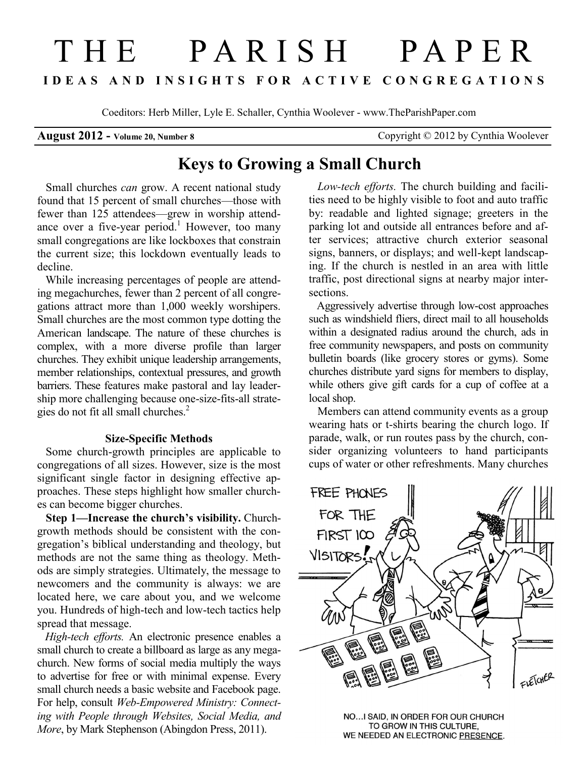# THE PARISH PAPER **I D E A S A N D I N S I G H T S F O R A C T I V E C O N G R E G A T I O N S**

Coeditors: Herb Miller, Lyle E. Schaller, Cynthia Woolever - www.TheParishPaper.com

**August 2012 - Volume 20, Number 8** Copyright © 2012 by Cynthia Woolever

# **Keys to Growing a Small Church**

 Small churches *can* grow. A recent national study found that 15 percent of small churches—those with fewer than 125 attendees—grew in worship attendance over a five-year period.<sup>1</sup> However, too many small congregations are like lockboxes that constrain the current size; this lockdown eventually leads to decline.

 While increasing percentages of people are attending megachurches, fewer than 2 percent of all congregations attract more than 1,000 weekly worshipers. Small churches are the most common type dotting the American landscape. The nature of these churches is complex, with a more diverse profile than larger churches. They exhibit unique leadership arrangements, member relationships, contextual pressures, and growth barriers. These features make pastoral and lay leadership more challenging because one-size-fits-all strategies do not fit all small churches.<sup>2</sup>

### **Size-Specific Methods**

 Some church-growth principles are applicable to congregations of all sizes. However, size is the most significant single factor in designing effective approaches. These steps highlight how smaller churches can become bigger churches.

 **Step 1—Increase the church's visibility.** Churchgrowth methods should be consistent with the congregation's biblical understanding and theology, but methods are not the same thing as theology. Methods are simply strategies. Ultimately, the message to newcomers and the community is always: we are located here, we care about you, and we welcome you. Hundreds of high-tech and low-tech tactics help spread that message.

 *High-tech efforts.* An electronic presence enables a small church to create a billboard as large as any megachurch. New forms of social media multiply the ways to advertise for free or with minimal expense. Every small church needs a basic website and Facebook page. For help, consult *Web-Empowered Ministry: Connecting with People through Websites, Social Media, and More*, by Mark Stephenson (Abingdon Press, 2011).

 *Low-tech efforts.* The church building and facilities need to be highly visible to foot and auto traffic by: readable and lighted signage; greeters in the parking lot and outside all entrances before and after services; attractive church exterior seasonal signs, banners, or displays; and well-kept landscaping. If the church is nestled in an area with little traffic, post directional signs at nearby major intersections.

 Aggressively advertise through low-cost approaches such as windshield fliers, direct mail to all households within a designated radius around the church, ads in free community newspapers, and posts on community bulletin boards (like grocery stores or gyms). Some churches distribute yard signs for members to display, while others give gift cards for a cup of coffee at a local shop.

 Members can attend community events as a group wearing hats or t-shirts bearing the church logo. If parade, walk, or run routes pass by the church, consider organizing volunteers to hand participants cups of water or other refreshments. Many churches



NO...I SAID, IN ORDER FOR OUR CHURCH TO GROW IN THIS CULTURE, WE NEEDED AN ELECTRONIC PRESENCE.